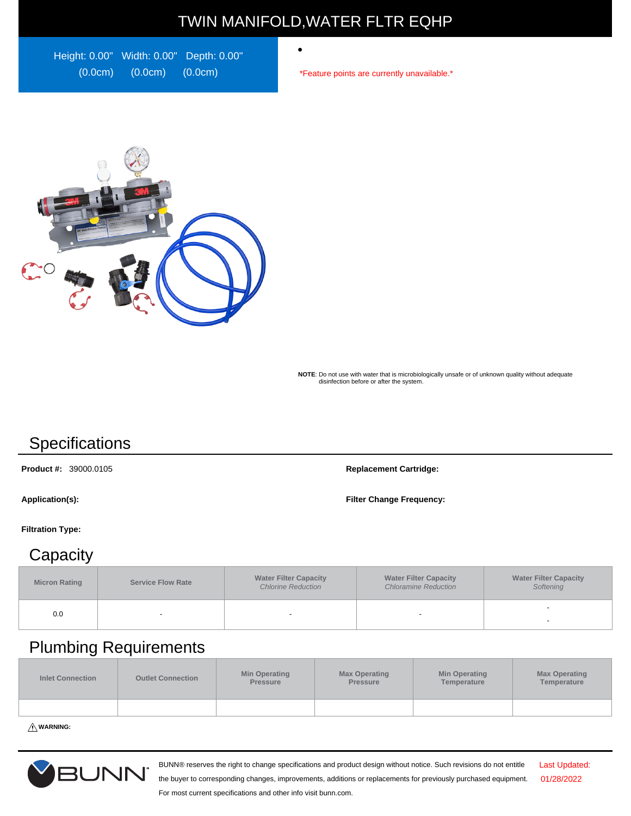# TWIN MANIFOLD,WATER FLTR EQHP

 $\bullet$ 

Height: 0.00" Width: 0.00" Depth: 0.00" (0.0cm) (0.0cm) (0.0cm)

\*Feature points are currently unavailable.\*



**NOTE**: Do not use with water that is microbiologically unsafe or of unknown quality without adequate disinfection before or after the system.

# **Specifications**

**Product #:** 39000.0105 **Replacement Cartridge:**

**Application(s): Filter Change Frequency:**

#### **Filtration Type:**

### **Capacity**

| <b>Micron Rating</b> | <b>Service Flow Rate</b> | <b>Water Filter Capacity</b><br><b>Chlorine Reduction</b> | <b>Water Filter Capacity</b><br><b>Chloramine Reduction</b> | <b>Water Filter Capacity</b><br>Softening |
|----------------------|--------------------------|-----------------------------------------------------------|-------------------------------------------------------------|-------------------------------------------|
| 0.0                  |                          |                                                           | $\overline{\phantom{a}}$                                    | -                                         |

# Plumbing Requirements

| <b>Inlet Connection</b> | <b>Outlet Connection</b> | Min Operating<br><b>Pressure</b> | <b>Max Operating</b><br><b>Pressure</b> | <b>Min Operating</b><br>Temperature | <b>Max Operating</b><br>Temperature |
|-------------------------|--------------------------|----------------------------------|-----------------------------------------|-------------------------------------|-------------------------------------|
|                         |                          |                                  |                                         |                                     |                                     |

**WARNING:**



BUNN® reserves the right to change specifications and product design without notice. Such revisions do not entitle

Last Updated: 01/28/2022

the buyer to corresponding changes, improvements, additions or replacements for previously purchased equipment. For most current specifications and other info visit bunn.com.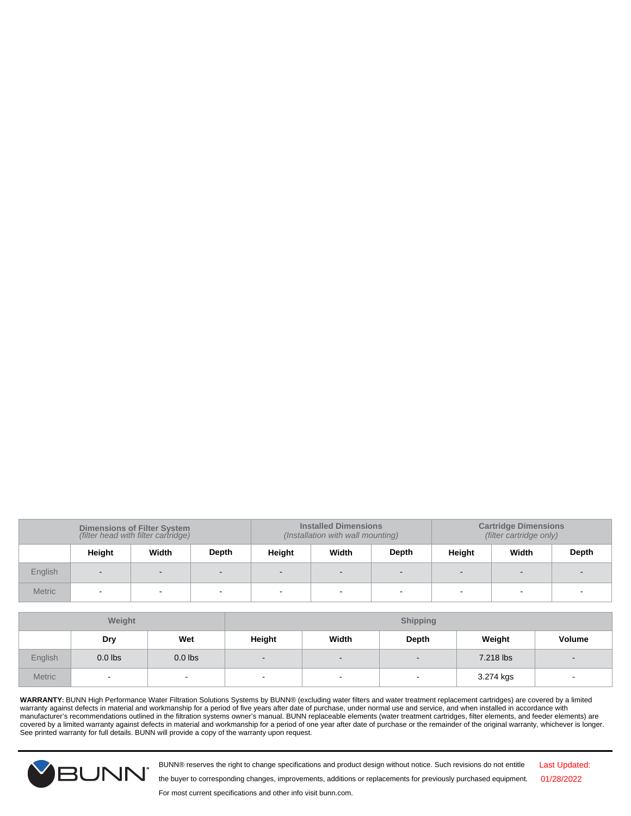| <b>Dimensions of Filter System</b><br>(filter head with filter cartridge) |        |       | <b>Installed Dimensions</b><br>(Installation with wall mounting) |        |        | <b>Cartridge Dimensions</b><br>(filter cartridge only) |        |       |       |
|---------------------------------------------------------------------------|--------|-------|------------------------------------------------------------------|--------|--------|--------------------------------------------------------|--------|-------|-------|
|                                                                           | Height | Width | Depth                                                            | Height | Width  | Depth                                                  | Height | Width | Depth |
| English                                                                   | $\sim$ |       |                                                                  |        | $\sim$ |                                                        |        |       |       |
| <b>Metric</b>                                                             |        |       |                                                                  | -      | $\sim$ |                                                        |        |       |       |

| Weight        |           |                | <b>Shipping</b>          |        |                          |           |                          |
|---------------|-----------|----------------|--------------------------|--------|--------------------------|-----------|--------------------------|
|               | Dry       | Wet            | Height                   | Width  | Depth                    | Weight    | Volume                   |
| English       | $0.0$ lbs | $0.0$ lbs      | $\overline{\phantom{a}}$ | $\sim$ | $\overline{\phantom{0}}$ | 7.218 lbs | $\overline{\phantom{a}}$ |
| <b>Metric</b> | $\sim$    | $\blacksquare$ |                          | $\sim$ | $\overline{\phantom{0}}$ | 3.274 kgs |                          |

WARRANTY: BUNN High Performance Water Filtration Solutions Systems by BUNN® (excluding water filters and water treatment replacement cartridges) are covered by a limited<br>manufacturer's recommendations outlined in the filt See printed warranty for full details. BUNN will provide a copy of the warranty upon request.



BUNN® reserves the right to change specifications and product design without notice. Such revisions do not entitle

Last Updated: 01/28/2022

For most current specifications and other info visit bunn.com.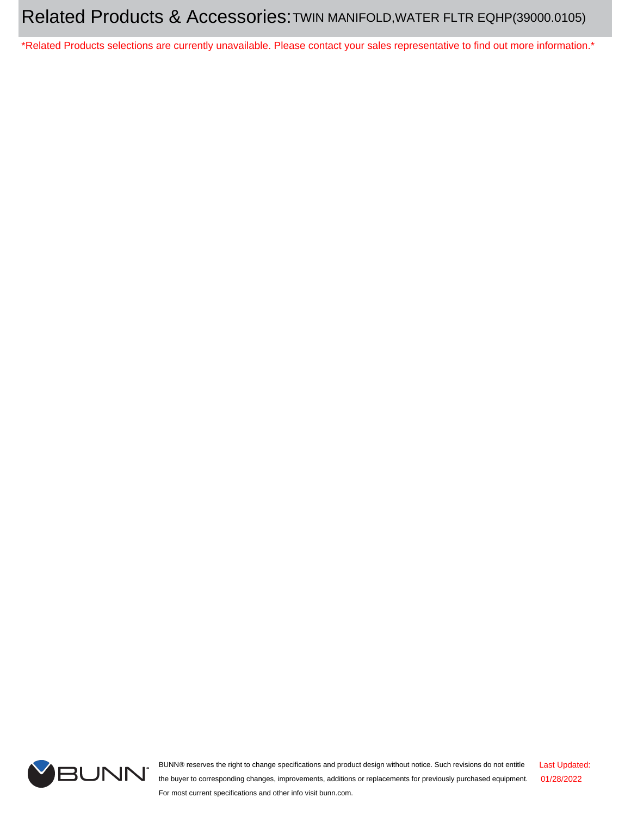\*Related Products selections are currently unavailable. Please contact your sales representative to find out more information.\*



BUNN® reserves the right to change specifications and product design without notice. Such revisions do not entitle the buyer to corresponding changes, improvements, additions or replacements for previously purchased equipment. For most current specifications and other info visit bunn.com. Last Updated: 01/28/2022